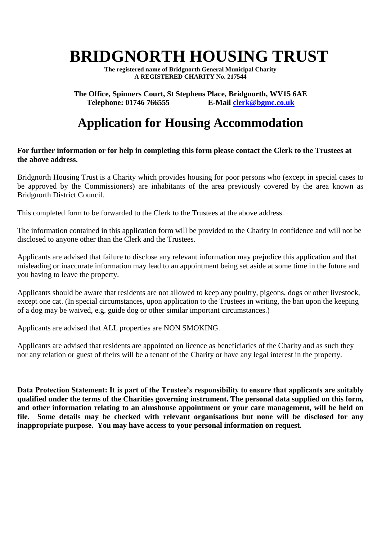# **BRIDGNORTH HOUSING TRUST**

**The registered name of Bridgnorth General Municipal Charity A REGISTERED CHARITY No. 217544**

**The Office, Spinners Court, St Stephens Place, Bridgnorth, WV15 6AE**<br>Telephone: 01746 766555<br>E-Mail clerk@bgmc.co.uk **Telephone: 01746 766555** 

## **Application for Housing Accommodation**

#### **For further information or for help in completing this form please contact the Clerk to the Trustees at the above address.**

Bridgnorth Housing Trust is a Charity which provides housing for poor persons who (except in special cases to be approved by the Commissioners) are inhabitants of the area previously covered by the area known as Bridgnorth District Council.

This completed form to be forwarded to the Clerk to the Trustees at the above address.

The information contained in this application form will be provided to the Charity in confidence and will not be disclosed to anyone other than the Clerk and the Trustees.

Applicants are advised that failure to disclose any relevant information may prejudice this application and that misleading or inaccurate information may lead to an appointment being set aside at some time in the future and you having to leave the property.

Applicants should be aware that residents are not allowed to keep any poultry, pigeons, dogs or other livestock, except one cat. (In special circumstances, upon application to the Trustees in writing, the ban upon the keeping of a dog may be waived, e.g. guide dog or other similar important circumstances.)

Applicants are advised that ALL properties are NON SMOKING.

Applicants are advised that residents are appointed on licence as beneficiaries of the Charity and as such they nor any relation or guest of theirs will be a tenant of the Charity or have any legal interest in the property.

**Data Protection Statement: It is part of the Trustee's responsibility to ensure that applicants are suitably qualified under the terms of the Charities governing instrument. The personal data supplied on this form, and other information relating to an almshouse appointment or your care management, will be held on file. Some details may be checked with relevant organisations but none will be disclosed for any inappropriate purpose. You may have access to your personal information on request.**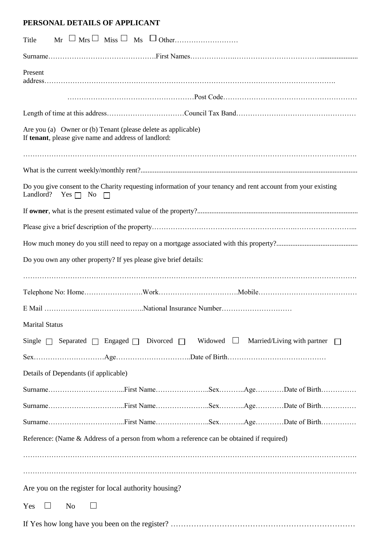#### **PERSONAL DETAILS OF APPLICANT**

| $M_r \cup M_{rs} \cup M_{iss} \cup M_s \cup O_{ther.$<br>Title                                                                              |
|---------------------------------------------------------------------------------------------------------------------------------------------|
|                                                                                                                                             |
| Present                                                                                                                                     |
|                                                                                                                                             |
|                                                                                                                                             |
| Are you (a) Owner or (b) Tenant (please delete as applicable)<br>If tenant, please give name and address of landlord:                       |
|                                                                                                                                             |
|                                                                                                                                             |
| Do you give consent to the Charity requesting information of your tenancy and rent account from your existing<br>Landlord?<br>Yes $\Box$ No |
|                                                                                                                                             |
|                                                                                                                                             |
|                                                                                                                                             |
| Do you own any other property? If yes please give brief details:                                                                            |
|                                                                                                                                             |
|                                                                                                                                             |
|                                                                                                                                             |
| <b>Marital Status</b>                                                                                                                       |
| Single $\Box$ Separated $\Box$ Engaged $\Box$ Divorced $\Box$ Widowed $\Box$<br>Married/Living with partner                                 |
|                                                                                                                                             |
| Details of Dependants (if applicable)                                                                                                       |
|                                                                                                                                             |
|                                                                                                                                             |
|                                                                                                                                             |
| Reference: (Name & Address of a person from whom a reference can be obtained if required)                                                   |
|                                                                                                                                             |
|                                                                                                                                             |
| Are you on the register for local authority housing?                                                                                        |
| Yes<br>No<br>$\Box$<br>$\Box$                                                                                                               |
|                                                                                                                                             |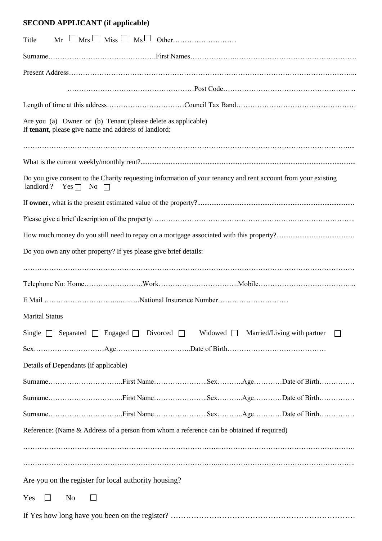### **SECOND APPLICANT (if applicable)**

| Title                                                                                                                                           |
|-------------------------------------------------------------------------------------------------------------------------------------------------|
|                                                                                                                                                 |
|                                                                                                                                                 |
|                                                                                                                                                 |
|                                                                                                                                                 |
| Are you (a) Owner or (b) Tenant (please delete as applicable)<br>If tenant, please give name and address of landlord:                           |
|                                                                                                                                                 |
|                                                                                                                                                 |
| Do you give consent to the Charity requesting information of your tenancy and rent account from your existing<br>landlord? Yes $\Box$ No $\Box$ |
|                                                                                                                                                 |
|                                                                                                                                                 |
|                                                                                                                                                 |
| Do you own any other property? If yes please give brief details:                                                                                |
|                                                                                                                                                 |
|                                                                                                                                                 |
|                                                                                                                                                 |
| <b>Marital Status</b>                                                                                                                           |
| Single $\Box$ Separated $\Box$ Engaged $\Box$ Divorced $\Box$ Widowed $\Box$ Married/Living with partner                                        |
|                                                                                                                                                 |
| Details of Dependants (if applicable)                                                                                                           |
|                                                                                                                                                 |
|                                                                                                                                                 |
|                                                                                                                                                 |
| Reference: (Name & Address of a person from whom a reference can be obtained if required)                                                       |
|                                                                                                                                                 |
|                                                                                                                                                 |
| Are you on the register for local authority housing?                                                                                            |
| Yes<br>No<br>$\Box$<br>$\Box$                                                                                                                   |
|                                                                                                                                                 |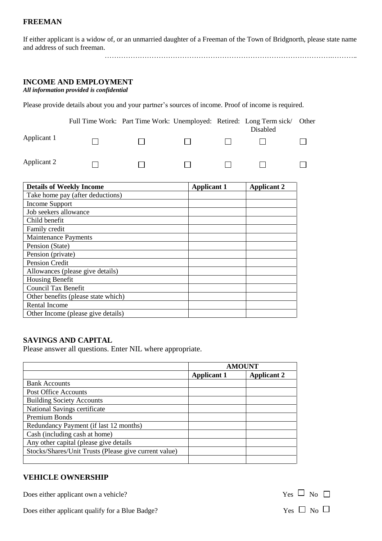#### **FREEMAN**

If either applicant is a widow of, or an unmarried daughter of a Freeman of the Town of Bridgnorth, please state name and address of such freeman.

…………………………………………………………………………………….………..

#### **INCOME AND EMPLOYMENT**

*All information provided is confidential*

Please provide details about you and your partner's sources of income. Proof of income is required.

|             |  |              | Full Time Work: Part Time Work: Unemployed: Retired: Long Term sick/ Other<br>Disabled |  |
|-------------|--|--------------|----------------------------------------------------------------------------------------|--|
| Applicant 1 |  | $\mathbf{1}$ |                                                                                        |  |
| Applicant 2 |  |              |                                                                                        |  |

| <b>Details of Weekly Income</b>     | <b>Applicant 1</b> | <b>Applicant 2</b> |
|-------------------------------------|--------------------|--------------------|
| Take home pay (after deductions)    |                    |                    |
| <b>Income Support</b>               |                    |                    |
| Job seekers allowance               |                    |                    |
| Child benefit                       |                    |                    |
| Family credit                       |                    |                    |
| <b>Maintenance Payments</b>         |                    |                    |
| Pension (State)                     |                    |                    |
| Pension (private)                   |                    |                    |
| Pension Credit                      |                    |                    |
| Allowances (please give details)    |                    |                    |
| <b>Housing Benefit</b>              |                    |                    |
| <b>Council Tax Benefit</b>          |                    |                    |
| Other benefits (please state which) |                    |                    |
| Rental Income                       |                    |                    |
| Other Income (please give details)  |                    |                    |

#### **SAVINGS AND CAPITAL**

Please answer all questions. Enter NIL where appropriate.

|                                                       | <b>AMOUNT</b>      |                    |
|-------------------------------------------------------|--------------------|--------------------|
|                                                       | <b>Applicant 1</b> | <b>Applicant 2</b> |
| <b>Bank Accounts</b>                                  |                    |                    |
| Post Office Accounts                                  |                    |                    |
| <b>Building Society Accounts</b>                      |                    |                    |
| National Savings certificate                          |                    |                    |
| Premium Bonds                                         |                    |                    |
| Redundancy Payment (if last 12 months)                |                    |                    |
| Cash (including cash at home)                         |                    |                    |
| Any other capital (please give details                |                    |                    |
| Stocks/Shares/Unit Trusts (Please give current value) |                    |                    |
|                                                       |                    |                    |

#### **VEHICLE OWNERSHIP**

Does either applicant own a vehicle?  $Yes \Box No \Box$ 

Does either applicant qualify for a Blue Badge? Yes  $\Box$  No  $\Box$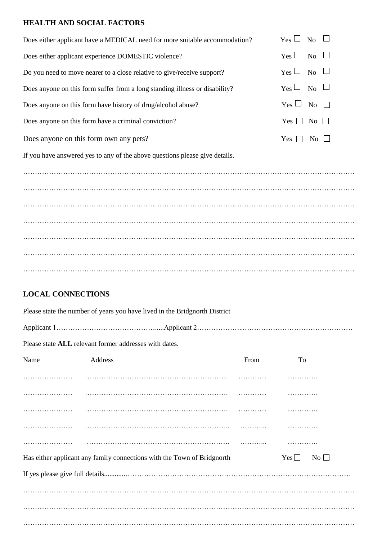#### **HEALTH AND SOCIAL FACTORS**

| Does either applicant have a MEDICAL need for more suitable accommodation?  | $Yes \Box No \Box$                          |
|-----------------------------------------------------------------------------|---------------------------------------------|
| Does either applicant experience DOMESTIC violence?                         | $Yes \Box No \Box$                          |
| Do you need to move nearer to a close relative to give/receive support?     | $\gamma_{es} \Box$ No $\Box$                |
| Does anyone on this form suffer from a long standing illness or disability? | $Y_{\text{es}} \square_{\text{No}} \square$ |
| Does anyone on this form have history of drug/alcohol abuse?                | $Yes \Box No \Box$                          |
| Does anyone on this form have a criminal conviction?                        | Yes $\Box$ No $\Box$                        |
| Does anyone on this form own any pets?                                      | Yes $\Box$ No $\Box$                        |
| If you have answered yes to any of the above questions please give details. |                                             |
|                                                                             |                                             |
|                                                                             |                                             |
|                                                                             |                                             |
|                                                                             |                                             |
|                                                                             |                                             |
|                                                                             |                                             |
|                                                                             |                                             |

#### **LOCAL CONNECTIONS**

Please state the number of years you have lived in the Bridgnorth District

Applicant 1…………………………………….....Applicant 2………………...……………………………………….

Please state **ALL** relevant former addresses with dates.

| Name | Address                                                                 | From | To                            |
|------|-------------------------------------------------------------------------|------|-------------------------------|
|      |                                                                         |      |                               |
|      |                                                                         |      |                               |
|      |                                                                         |      |                               |
|      |                                                                         |      |                               |
|      |                                                                         |      |                               |
|      | Has either applicant any family connections with the Town of Bridgnorth |      | $Yes \Box$<br>$\rm No$ $\Box$ |
|      |                                                                         |      |                               |
|      |                                                                         |      |                               |
|      |                                                                         |      |                               |
|      |                                                                         |      |                               |
|      |                                                                         |      |                               |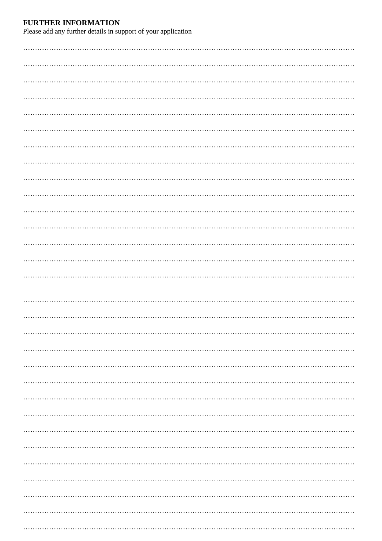**FURTHER INFORMATION**<br>Please add any further details in support of your application